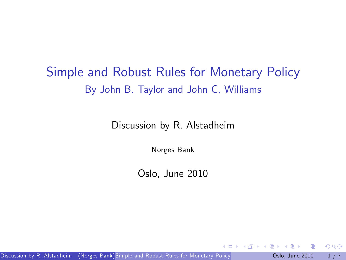## Simple and Robust Rules for Monetary Policy By John B. Taylor and John C. Williams

Discussion by R. Alstadheim

Norges Bank

Oslo, June 2010

 $\leftarrow$ 

Discussion by R. Alstadheim (Norges Bank[\)Simple and Robust Rules for Monetary Policy](#page-6-0) **Canadical Communist Communisty** 

<span id="page-0-0"></span> $QQ$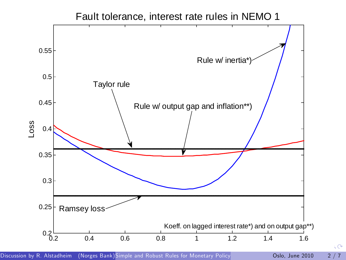



 $\mathcal{C}$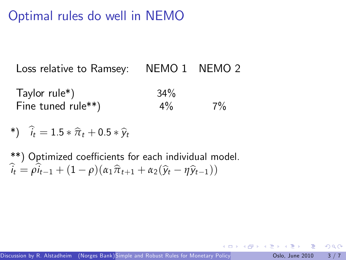## Optimal rules do well in NEMO

Loss relative to Ramsey: NEMO 1 NEMO 2

Taylor rule\*) 34% Fine tuned rule<sup>\*\*</sup>)  $4\%$   $7\%$ 

$$
*) \quad \widehat{i}_t = 1.5 * \widehat{\pi}_t + 0.5 * \widehat{y}_t
$$

\*\*) Optimized coefficients for each individual model.  $\hat{i}_t = \hat{\omega}_{t-1} + (1 - \rho)(\alpha_1 \hat{\pi}_{t+1} + \alpha_2(\hat{y}_t - \eta \hat{y}_{t-1}))$ 

<span id="page-2-0"></span> $\Omega$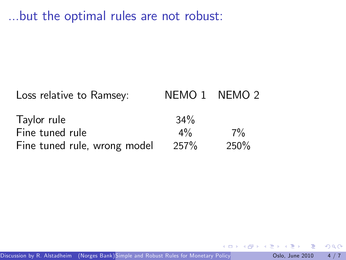...but the optimal rules are not robust:

Loss relative to Ramsey: NEMO 1 NEMO 2

| Taylor rule                  | $34\%$           |       |
|------------------------------|------------------|-------|
| Fine tuned rule              | $4\%$            | $7\%$ |
| Fine tuned rule, wrong model | 257 <sup>%</sup> | 250%  |

 $\leftarrow$ 

 $QQ$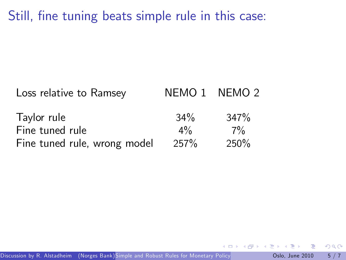Still, fine tuning beats simple rule in this case:

| Loss relative to Ramsey      | NEMO 1 NEMO 2 |      |
|------------------------------|---------------|------|
| Taylor rule                  | $34\%$        | 347% |
| Fine tuned rule              | $4\%$         | 7%   |
| Fine tuned rule, wrong model | 257%          | 250% |

 $\leftarrow$ 

 $299$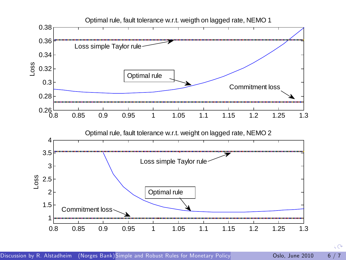

 $\mathcal{C}$